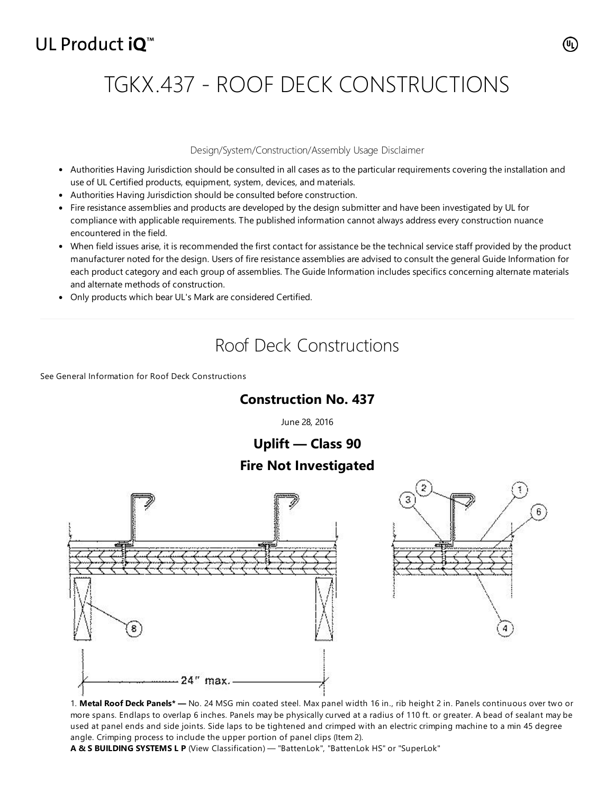# UL Product iQ<sup>™</sup>

# TGKX.437 - ROOF DECK CONSTRUCTIONS

#### Design/System/Construction/Assembly Usage Disclaimer

- Authorities Having Jurisdiction should be consulted in all cases as to the particular requirements covering the installation and use of UL Certified products, equipment, system, devices, and materials.
- Authorities Having Jurisdiction should be consulted before construction.
- Fire resistance assemblies and products are developed by the design submitter and have been investigated by UL for compliance with applicable requirements. The published information cannot always address every construction nuance encountered in the field.
- When field issues arise, it is recommended the first contact for assistance be the technical service staff provided by the product manufacturer noted for the design. Users of fire resistance assemblies are advised to consult the general Guide Information for each product category and each group of assemblies. The Guide Information includes specifics concerning alternate materials and alternate methods of construction.
- Only products which bear UL's Mark are considered Certified.

## Roof Deck Constructions

See General Information for Roof Deck [Constructions](https://iq.ulprospector.com/cgi-bin/XYV/template/LISEXT/1FRAME/showpage.html?&name=TGKX.GuideInfo&ccnshorttitle=Roof+Deck+Constructions&objid=1074352641&cfgid=1073741824&version=versionless&parent_id=1073993611&sequence=1)

### **Construction No. 437**

June 28, 2016

**Uplift — Class 90 Fire Not Investigated**





1. **Metal Roof Deck Panels\* —** No. 24 MSG min coated steel. Max panel width 16 in., rib height 2 in. Panels continuous over two or more spans. Endlaps to overlap 6 inches. Panels may be physically curved at a radius of 110 ft. or greater. A bead of sealant may be used at panel ends and side joints. Side laps to be tightened and crimped with an electric crimping machine to a min 45 degree angle. Crimping process to include the upper portion of panel clips (Item 2).

**A & S BUILDING SYSTEMS L P** (View [Classification\)](http://database.ul.com/cgi-bin/XYV/cgifind/LISEXT/1FRAME/srchres.html?collection=/data3/verity_collections/lisext&vdkhome=/data3/verity_sw_rev24/common&SORT_BY=textlines:asc,ccnshorttitle:asc&query=650404001+%3CIN%3ESubscrbr_ID+and+TJPV*+%3CIN%3ECCN) — "BattenLok", "BattenLok HS" or "SuperLok"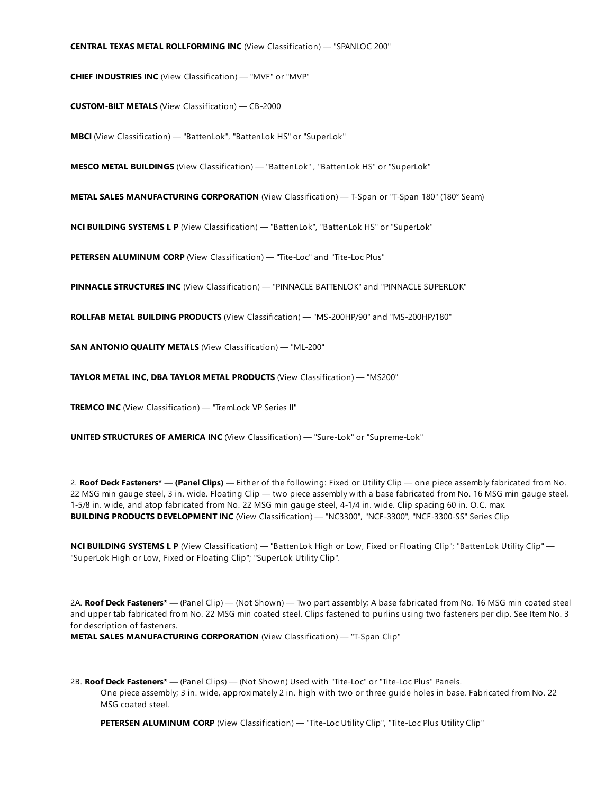#### **CENTRAL TEXAS METAL ROLLFORMING INC** (View [Classification\)](http://database.ul.com/cgi-bin/XYV/cgifind/LISEXT/1FRAME/srchres.html?collection=/data3/verity_collections/lisext&vdkhome=/data3/verity_sw_rev24/common&SORT_BY=textlines:asc,ccnshorttitle:asc&query=960510002+%3CIN%3ESubscrbr_ID+and+TJPV*+%3CIN%3ECCN) — "SPANLOC 200"

**CHIEF INDUSTRIES INC** (View [Classification\)](http://database.ul.com/cgi-bin/XYV/cgifind/LISEXT/1FRAME/srchres.html?collection=/data3/verity_collections/lisext&vdkhome=/data3/verity_sw_rev24/common&SORT_BY=textlines:asc,ccnshorttitle:asc&query=266906001+%3CIN%3ESubscrbr_ID+and+TJPV*+%3CIN%3ECCN) — "MVF" or "MVP"

**CUSTOM-BILT METALS** (View [Classification\)](http://database.ul.com/cgi-bin/XYV/cgifind/LISEXT/1FRAME/srchres.html?collection=/data3/verity_collections/lisext&vdkhome=/data3/verity_sw_rev24/common&SORT_BY=textlines:asc,ccnshorttitle:asc&query=100588051+%3CIN%3ESubscrbr_ID+and+TJPV*+%3CIN%3ECCN) — CB-2000

**MBCI** (View [Classification\)](http://database.ul.com/cgi-bin/XYV/cgifind/LISEXT/1FRAME/srchres.html?collection=/data3/verity_collections/lisext&vdkhome=/data3/verity_sw_rev24/common&SORT_BY=textlines:asc,ccnshorttitle:asc&query=139289001+%3CIN%3ESubscrbr_ID+and+TJPV*+%3CIN%3ECCN) — "BattenLok", "BattenLok HS" or "SuperLok"

**MESCO METAL BUILDINGS** (View [Classification\)](http://database.ul.com/cgi-bin/XYV/cgifind/LISEXT/1FRAME/srchres.html?collection=/data3/verity_collections/lisext&vdkhome=/data3/verity_sw_rev24/common&SORT_BY=textlines:asc,ccnshorttitle:asc&query=518549001+%3CIN%3ESubscrbr_ID+and+TJPV*+%3CIN%3ECCN) — "BattenLok" , "BattenLok HS" or "SuperLok"

**METAL SALES MANUFACTURING CORPORATION** (View [Classification\)](http://database.ul.com/cgi-bin/XYV/cgifind/LISEXT/1FRAME/srchres.html?collection=/data3/verity_collections/lisext&vdkhome=/data3/verity_sw_rev24/common&SORT_BY=textlines:asc,ccnshorttitle:asc&query=997005001+%3CIN%3ESubscrbr_ID+and+TJPV*+%3CIN%3ECCN) — T-Span or "T-Span 180" (180° Seam)

**NCI BUILDING SYSTEMS L P** (View [Classification\)](http://database.ul.com/cgi-bin/XYV/cgifind/LISEXT/1FRAME/srchres.html?collection=/data3/verity_collections/lisext&vdkhome=/data3/verity_sw_rev24/common&SORT_BY=textlines:asc,ccnshorttitle:asc&query=901683001+%3CIN%3ESubscrbr_ID+and+TJPV*+%3CIN%3ECCN) — "BattenLok", "BattenLok HS" or "SuperLok"

**PETERSEN ALUMINUM CORP** (View [Classification\)](http://database.ul.com/cgi-bin/XYV/cgifind/LISEXT/1FRAME/srchres.html?collection=/data3/verity_collections/lisext&vdkhome=/data3/verity_sw_rev24/common&SORT_BY=textlines:asc,ccnshorttitle:asc&query=652342001+%3CIN%3ESubscrbr_ID+and+TJPV*+%3CIN%3ECCN) — "Tite-Loc" and "Tite-Loc Plus"

**PINNACLE STRUCTURES INC** (View [Classification\)](http://database.ul.com/cgi-bin/XYV/cgifind/LISEXT/1FRAME/srchres.html?collection=/data3/verity_collections/lisext&vdkhome=/data3/verity_sw_rev24/common&SORT_BY=textlines:asc,ccnshorttitle:asc&query=100411252+%3CIN%3ESubscrbr_ID+and+TJPV*+%3CIN%3ECCN) — "PINNACLE BATTENLOK" and "PINNACLE SUPERLOK"

**ROLLFAB METAL BUILDING PRODUCTS** (View [Classification\)](http://database.ul.com/cgi-bin/XYV/cgifind/LISEXT/1FRAME/srchres.html?collection=/data3/verity_collections/lisext&vdkhome=/data3/verity_sw_rev24/common&SORT_BY=textlines:asc,ccnshorttitle:asc&query=100512980+%3CIN%3ESubscrbr_ID+and+TJPV*+%3CIN%3ECCN) — "MS-200HP/90" and "MS-200HP/180"

**SAN ANTONIO QUALITY METALS** (View [Classification\)](http://database.ul.com/cgi-bin/XYV/cgifind/LISEXT/1FRAME/srchres.html?collection=/data3/verity_collections/lisext&vdkhome=/data3/verity_sw_rev24/common&SORT_BY=textlines:asc,ccnshorttitle:asc&query=100560333+%3CIN%3ESubscrbr_ID+and+TJPV*+%3CIN%3ECCN) — "ML-200"

**TAYLOR METAL INC, DBA TAYLOR METAL PRODUCTS** (View [Classification\)](http://database.ul.com/cgi-bin/XYV/cgifind/LISEXT/1FRAME/srchres.html?collection=/data3/verity_collections/lisext&vdkhome=/data3/verity_sw_rev24/common&SORT_BY=textlines:asc,ccnshorttitle:asc&query=664740001+%3CIN%3ESubscrbr_ID+and+TJPV*+%3CIN%3ECCN) — "MS200"

**TREMCO INC** (View [Classification\)](http://database.ul.com/cgi-bin/XYV/cgifind/LISEXT/1FRAME/srchres.html?collection=/data3/verity_collections/lisext&vdkhome=/data3/verity_sw_rev24/common&SORT_BY=textlines:asc,ccnshorttitle:asc&query=718947007+%3CIN%3ESubscrbr_ID+and+TJPV*+%3CIN%3ECCN) — "TremLock VP Series II"

**UNITED STRUCTURES OF AMERICA INC** (View [Classification\)](http://database.ul.com/cgi-bin/XYV/cgifind/LISEXT/1FRAME/srchres.html?collection=/data3/verity_collections/lisext&vdkhome=/data3/verity_sw_rev24/common&SORT_BY=textlines:asc,ccnshorttitle:asc&query=771112001+%3CIN%3ESubscrbr_ID+and+TJPV*+%3CIN%3ECCN) — "Sure-Lok" or "Supreme-Lok"

2. **Roof Deck Fasteners\* — (Panel Clips) —** Either of the following: Fixed or Utility Clip — one piece assembly fabricated from No. 22 MSG min gauge steel, 3 in. wide. Floating Clip — two piece assembly with a base fabricated from No. 16 MSG min gauge steel, 1-5/8 in. wide, and atop fabricated from No. 22 MSG min gauge steel, 4-1/4 in. wide. Clip spacing 60 in. O.C. max. **BUILDING PRODUCTS DEVELOPMENT INC** (View [Classification\)](http://database.ul.com/cgi-bin/XYV/cgifind/LISEXT/1FRAME/srchres.html?collection=/data3/verity_collections/lisext&vdkhome=/data3/verity_sw_rev24/common&SORT_BY=textlines:asc,ccnshorttitle:asc&query=100028941+%3CIN%3ESubscrbr_ID+and+TLSX*+%3CIN%3ECCN) — "NC3300", "NCF-3300", "NCF-3300-SS" Series Clip

**NCI BUILDING SYSTEMS L P** (View [Classification\)](http://database.ul.com/cgi-bin/XYV/cgifind/LISEXT/1FRAME/srchres.html?collection=/data3/verity_collections/lisext&vdkhome=/data3/verity_sw_rev24/common&SORT_BY=textlines:asc,ccnshorttitle:asc&query=901683001+%3CIN%3ESubscrbr_ID+and+TLSX*+%3CIN%3ECCN) — "BattenLok High or Low, Fixed or Floating Clip"; "BattenLok Utility Clip" — "SuperLok High or Low, Fixed or Floating Clip"; "SuperLok Utility Clip".

2A. **Roof Deck Fasteners\* —** (Panel Clip) — (Not Shown) — Two part assembly; A base fabricated from No. 16 MSG min coated steel and upper tab fabricated from No. 22 MSG min coated steel. Clips fastened to purlins using two fasteners per clip. See Item No. 3 for description of fasteners.

**METAL SALES MANUFACTURING CORPORATION** (View [Classification\)](http://database.ul.com/cgi-bin/XYV/cgifind/LISEXT/1FRAME/srchres.html?collection=/data3/verity_collections/lisext&vdkhome=/data3/verity_sw_rev24/common&SORT_BY=textlines:asc,ccnshorttitle:asc&query=997005001+%3CIN%3ESubscrbr_ID+and+TLSX*+%3CIN%3ECCN) — "T-Span Clip"

2B. **Roof Deck Fasteners\* —** (Panel Clips) — (Not Shown) Used with "Tite-Loc" or "Tite-Loc Plus" Panels. One piece assembly; 3 in. wide, approximately 2 in. high with two or three guide holes in base. Fabricated from No. 22 MSG coated steel.

**PETERSEN ALUMINUM CORP** (View [Classification\)](http://database.ul.com/cgi-bin/XYV/cgifind/LISEXT/1FRAME/srchres.html?collection=/data3/verity_collections/lisext&vdkhome=/data3/verity_sw_rev24/common&SORT_BY=textlines:asc,ccnshorttitle:asc&query=652342001+%3CIN%3ESubscrbr_ID+and+TLSX*+%3CIN%3ECCN) — "Tite-Loc Utility Clip", "Tite-Loc Plus Utility Clip"